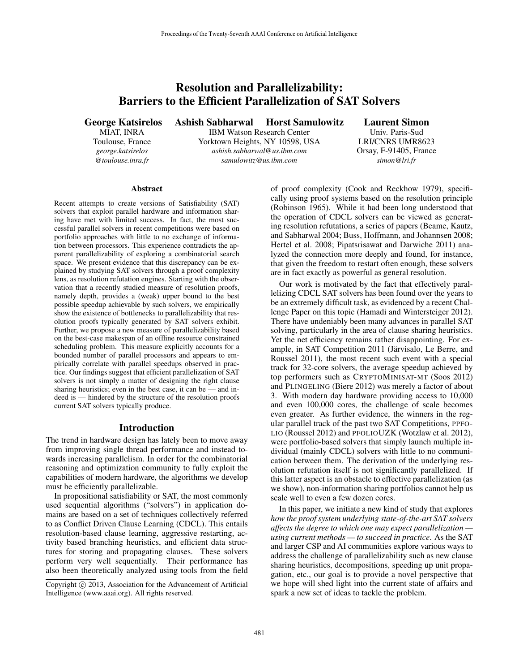# Resolution and Parallelizability: Barriers to the Efficient Parallelization of SAT Solvers

George Katsirelos

MIAT, INRA Toulouse, France *george.katsirelos @toulouse.inra.fr*

Ashish Sabharwal Horst Samulowitz

IBM Watson Research Center Yorktown Heights, NY 10598, USA *ashish.sabharwal@us.ibm.com samulowitz@us.ibm.com*

Laurent Simon

Univ. Paris-Sud LRI/CNRS UMR8623 Orsay, F-91405, France *simon@lri.fr*

#### **Abstract**

Recent attempts to create versions of Satisfiability (SAT) solvers that exploit parallel hardware and information sharing have met with limited success. In fact, the most successful parallel solvers in recent competitions were based on portfolio approaches with little to no exchange of information between processors. This experience contradicts the apparent parallelizability of exploring a combinatorial search space. We present evidence that this discrepancy can be explained by studying SAT solvers through a proof complexity lens, as resolution refutation engines. Starting with the observation that a recently studied measure of resolution proofs, namely depth, provides a (weak) upper bound to the best possible speedup achievable by such solvers, we empirically show the existence of bottlenecks to parallelizability that resolution proofs typically generated by SAT solvers exhibit. Further, we propose a new measure of parallelizability based on the best-case makespan of an offline resource constrained scheduling problem. This measure explicitly accounts for a bounded number of parallel processors and appears to empirically correlate with parallel speedups observed in practice. Our findings suggest that efficient parallelization of SAT solvers is not simply a matter of designing the right clause sharing heuristics; even in the best case, it can be — and indeed is — hindered by the structure of the resolution proofs current SAT solvers typically produce.

## Introduction

The trend in hardware design has lately been to move away from improving single thread performance and instead towards increasing parallelism. In order for the combinatorial reasoning and optimization community to fully exploit the capabilities of modern hardware, the algorithms we develop must be efficiently parallelizable.

In propositional satisfiability or SAT, the most commonly used sequential algorithms ("solvers") in application domains are based on a set of techniques collectively referred to as Conflict Driven Clause Learning (CDCL). This entails resolution-based clause learning, aggressive restarting, activity based branching heuristics, and efficient data structures for storing and propagating clauses. These solvers perform very well sequentially. Their performance has also been theoretically analyzed using tools from the field

of proof complexity (Cook and Reckhow 1979), specifically using proof systems based on the resolution principle (Robinson 1965). While it had been long understood that the operation of CDCL solvers can be viewed as generating resolution refutations, a series of papers (Beame, Kautz, and Sabharwal 2004; Buss, Hoffmann, and Johannsen 2008; Hertel et al. 2008; Pipatsrisawat and Darwiche 2011) analyzed the connection more deeply and found, for instance, that given the freedom to restart often enough, these solvers are in fact exactly as powerful as general resolution.

Our work is motivated by the fact that effectively parallelizing CDCL SAT solvers has been found over the years to be an extremely difficult task, as evidenced by a recent Challenge Paper on this topic (Hamadi and Wintersteiger 2012). There have undeniably been many advances in parallel SAT solving, particularly in the area of clause sharing heuristics. Yet the net efficiency remains rather disappointing. For example, in SAT Competition 2011 (Järvisalo, Le Berre, and Roussel 2011), the most recent such event with a special track for 32-core solvers, the average speedup achieved by top performers such as CRYPTOMINISAT-MT (Soos 2012) and PLINGELING (Biere 2012) was merely a factor of about 3. With modern day hardware providing access to 10,000 and even 100,000 cores, the challenge of scale becomes even greater. As further evidence, the winners in the regular parallel track of the past two SAT Competitions, PPFO-LIO (Roussel 2012) and PFOLIOUZK (Wotzlaw et al. 2012), were portfolio-based solvers that simply launch multiple individual (mainly CDCL) solvers with little to no communication between them. The derivation of the underlying resolution refutation itself is not significantly parallelized. If this latter aspect is an obstacle to effective parallelization (as we show), non-information sharing portfolios cannot help us scale well to even a few dozen cores.

In this paper, we initiate a new kind of study that explores *how the proof system underlying state-of-the-art SAT solvers affects the degree to which one may expect parallelization using current methods — to succeed in practice*. As the SAT and larger CSP and AI communities explore various ways to address the challenge of parallelizability such as new clause sharing heuristics, decompositions, speeding up unit propagation, etc., our goal is to provide a novel perspective that we hope will shed light into the current state of affairs and spark a new set of ideas to tackle the problem.

Copyright  $\odot$  2013, Association for the Advancement of Artificial Intelligence (www.aaai.org). All rights reserved.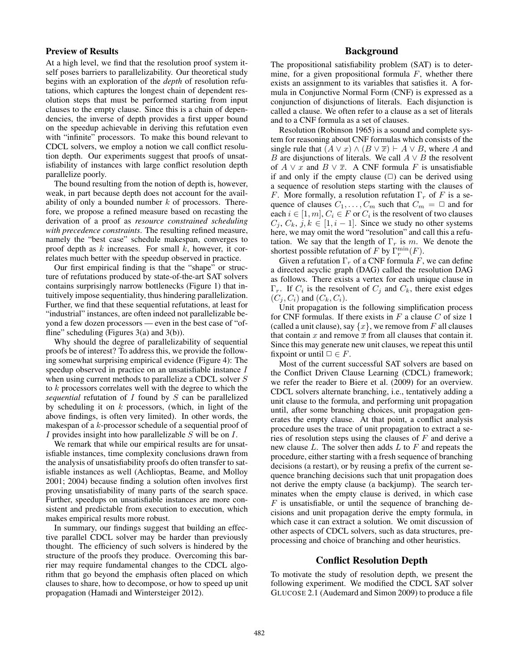# Preview of Results

At a high level, we find that the resolution proof system itself poses barriers to parallelizability. Our theoretical study begins with an exploration of the *depth* of resolution refutations, which captures the longest chain of dependent resolution steps that must be performed starting from input clauses to the empty clause. Since this is a chain of dependencies, the inverse of depth provides a first upper bound on the speedup achievable in deriving this refutation even with "infinite" processors. To make this bound relevant to CDCL solvers, we employ a notion we call conflict resolution depth. Our experiments suggest that proofs of unsatisfiability of instances with large conflict resolution depth parallelize poorly.

The bound resulting from the notion of depth is, however, weak, in part because depth does not account for the availability of only a bounded number  $k$  of processors. Therefore, we propose a refined measure based on recasting the derivation of a proof as *resource constrained scheduling with precedence constraints*. The resulting refined measure, namely the "best case" schedule makespan, converges to proof depth as  $k$  increases. For small  $k$ , however, it correlates much better with the speedup observed in practice.

Our first empirical finding is that the "shape" or structure of refutations produced by state-of-the-art SAT solvers contains surprisingly narrow bottlenecks (Figure 1) that intuitively impose sequentiality, thus hindering parallelization. Further, we find that these sequential refutations, at least for "industrial" instances, are often indeed not parallelizable beyond a few dozen processors — even in the best case of "offline" scheduling (Figures  $3(a)$  and  $3(b)$ ).

Why should the degree of parallelizability of sequential proofs be of interest? To address this, we provide the following somewhat surprising empirical evidence (Figure 4): The speedup observed in practice on an unsatisfiable instance I when using current methods to parallelize a CDCL solver S to k processors correlates well with the degree to which the *sequential* refutation of I found by S can be parallelized by scheduling it on  $k$  processors, (which, in light of the above findings, is often very limited). In other words, the makespan of a k-processor schedule of a sequential proof of I provides insight into how parallelizable S will be on I.

We remark that while our empirical results are for unsatisfiable instances, time complexity conclusions drawn from the analysis of unsatisfiability proofs do often transfer to satisfiable instances as well (Achlioptas, Beame, and Molloy 2001; 2004) because finding a solution often involves first proving unsatisfiability of many parts of the search space. Further, speedups on unsatisfiable instances are more consistent and predictable from execution to execution, which makes empirical results more robust.

In summary, our findings suggest that building an effective parallel CDCL solver may be harder than previously thought. The efficiency of such solvers is hindered by the structure of the proofs they produce. Overcoming this barrier may require fundamental changes to the CDCL algorithm that go beyond the emphasis often placed on which clauses to share, how to decompose, or how to speed up unit propagation (Hamadi and Wintersteiger 2012).

# Background

The propositional satisfiability problem (SAT) is to determine, for a given propositional formula  $F$ , whether there exists an assignment to its variables that satisfies it. A formula in Conjunctive Normal Form (CNF) is expressed as a conjunction of disjunctions of literals. Each disjunction is called a clause. We often refer to a clause as a set of literals and to a CNF formula as a set of clauses.

Resolution (Robinson 1965) is a sound and complete system for reasoning about CNF formulas which consists of the single rule that  $(A \lor x) \land (B \lor \overline{x}) \vdash A \lor B$ , where A and B are disjunctions of literals. We call  $A \vee B$  the resolvent of  $A \lor x$  and  $B \lor \overline{x}$ . A CNF formula F is unsatisfiable if and only if the empty clause  $(\square)$  can be derived using a sequence of resolution steps starting with the clauses of F. More formally, a resolution refutation  $\Gamma_r$  of F is a sequence of clauses  $C_1, \ldots, C_m$  such that  $C_m = \Box$  and for each  $i \in [1, m]$ ,  $C_i \in F$  or  $C_i$  is the resolvent of two clauses  $C_i, C_k, j, k \in [1, i - 1]$ . Since we study no other systems here, we may omit the word "resolution" and call this a refutation. We say that the length of  $\Gamma_r$  is m. We denote the shortest possible refutation of F by  $\Gamma_{r}^{\min}(F)$ .<br>Given a refutation  $\Gamma_{r}$  of a CNE formula F

Given a refutation  $\Gamma_r$  of a CNF formula F, we can define a directed acyclic graph (DAG) called the resolution DAG as follows. There exists a vertex for each unique clause in  $\Gamma_r$ . If  $C_i$  is the resolvent of  $C_j$  and  $C_k$ , there exist edges  $(C_i, C_i)$  and  $(C_k, C_i)$ .

Unit propagation is the following simplification process for CNF formulas. If there exists in  $F$  a clause  $C$  of size 1 (called a unit clause), say  $\{x\}$ , we remove from F all clauses that contain x and remove  $\bar{x}$  from all clauses that contain it. Since this may generate new unit clauses, we repeat this until fixpoint or until  $\Box \in F$ .

Most of the current successful SAT solvers are based on the Conflict Driven Clause Learning (CDCL) framework; we refer the reader to Biere et al. (2009) for an overview. CDCL solvers alternate branching, i.e., tentatively adding a unit clause to the formula, and performing unit propagation until, after some branching choices, unit propagation generates the empty clause. At that point, a conflict analysis procedure uses the trace of unit propagation to extract a series of resolution steps using the clauses of  $F$  and derive a new clause  $L$ . The solver then adds  $L$  to  $F$  and repeats the procedure, either starting with a fresh sequence of branching decisions (a restart), or by reusing a prefix of the current sequence branching decisions such that unit propagation does not derive the empty clause (a backjump). The search terminates when the empty clause is derived, in which case  $F$  is unsatisfiable, or until the sequence of branching decisions and unit propagation derive the empty formula, in which case it can extract a solution. We omit discussion of other aspects of CDCL solvers, such as data structures, preprocessing and choice of branching and other heuristics.

#### Conflict Resolution Depth

To motivate the study of resolution depth, we present the following experiment. We modified the CDCL SAT solver GLUCOSE 2.1 (Audemard and Simon 2009) to produce a file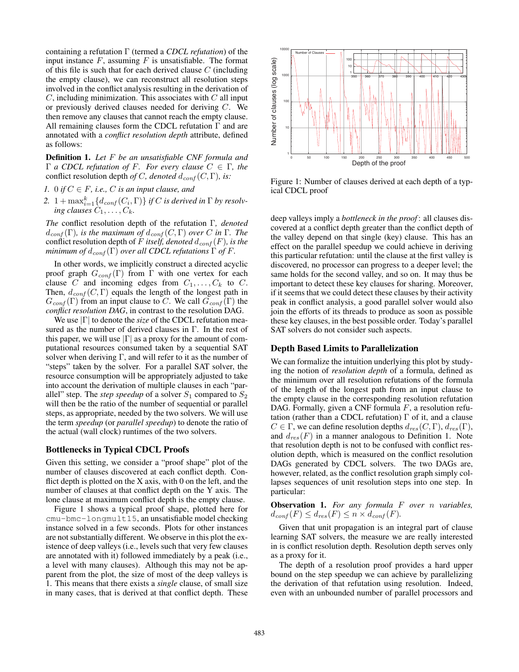containing a refutation  $\Gamma$  (termed a *CDCL refutation*) of the input instance  $F$ , assuming  $F$  is unsatisfiable. The format of this file is such that for each derived clause  $C$  (including the empty clause), we can reconstruct all resolution steps involved in the conflict analysis resulting in the derivation of  $C$ , including minimization. This associates with  $C$  all input or previously derived clauses needed for deriving C. We then remove any clauses that cannot reach the empty clause. All remaining clauses form the CDCL refutation Γ and are annotated with a *conflict resolution depth* attribute, defined as follows:

Definition 1. *Let* F *be an unsatisfiable CNF formula and* Γ *a CDCL refutation of* <sup>F</sup>*. For every clause* <sup>C</sup> <sup>∈</sup> Γ*, the* conflict resolution depth *of* C, denoted  $d_{conf}(C, \Gamma)$ , is:

- *1.* 0 *if*  $C \in F$ , *i.e.,*  $C$  *is an input clause, and*
- 2.  $1 + \max_{i=1}^{k} \{d_{conf}(C_i, \Gamma)\}$  *if* C *is derived in*  $\Gamma$  *by resolv- ing clauses*  $C_1, \ldots, C_k$ .

*The* conflict resolution depth of the refutation Γ*, denoted*  $d_{conf}(\Gamma)$ *, is the maximum of*  $d_{conf}(C, \Gamma)$  *over* C *in*  $\Gamma$ *. The* conflict resolution depth of F itself, denoted  $d_{conf}(F)$ , is the *minimum of*  $d_{conf}(\Gamma)$  *over all CDCL refutations*  $\Gamma$  *of*  $F$ .

In other words, we implicitly construct a directed acyclic proof graph  $G_{conf}(\Gamma)$  from Γ with one vertex for each clause C and incoming edges from  $C_1, \ldots, C_k$  to C. Then,  $d_{conf}(C, \Gamma)$  equals the length of the longest path in  $G_{conf}(\Gamma)$  from an input clause to C. We call  $G_{conf}(\Gamma)$  the *conflict resolution DAG*, in contrast to the resolution DAG.

We use <sup>|</sup>Γ<sup>|</sup> to denote the *size* of the CDCL refutation measured as the number of derived clauses in Γ. In the rest of this paper, we will use  $|\Gamma|$  as a proxy for the amount of computational resources consumed taken by a sequential SAT solver when deriving  $\Gamma$ , and will refer to it as the number of "steps" taken by the solver. For a parallel SAT solver, the resource consumption will be appropriately adjusted to take into account the derivation of multiple clauses in each "parallel" step. The *step speedup* of a solver  $S_1$  compared to  $S_2$ will then be the ratio of the number of sequential or parallel steps, as appropriate, needed by the two solvers. We will use the term *speedup* (or *parallel speedup*) to denote the ratio of the actual (wall clock) runtimes of the two solvers.

#### Bottlenecks in Typical CDCL Proofs

Given this setting, we consider a "proof shape" plot of the number of clauses discovered at each conflict depth. Conflict depth is plotted on the  $X$  axis, with 0 on the left, and the number of clauses at that conflict depth on the Y axis. The lone clause at maximum conflict depth is the empty clause.

Figure 1 shows a typical proof shape, plotted here for cmu-bmc-longmult15, an unsatisfiable model checking instance solved in a few seconds. Plots for other instances are not substantially different. We observe in this plot the existence of deep valleys (i.e., levels such that very few clauses are annotated with it) followed immediately by a peak (i.e., a level with many clauses). Although this may not be apparent from the plot, the size of most of the deep valleys is 1. This means that there exists a *single* clause, of small size in many cases, that is derived at that conflict depth. These



Figure 1: Number of clauses derived at each depth of a typical CDCL proof

deep valleys imply a *bottleneck in the proof* : all clauses discovered at a conflict depth greater than the conflict depth of the valley depend on that single (key) clause. This has an effect on the parallel speedup we could achieve in deriving this particular refutation: until the clause at the first valley is discovered, no processor can progress to a deeper level; the same holds for the second valley, and so on. It may thus be important to detect these key clauses for sharing. Moreover, if it seems that we could detect these clauses by their activity peak in conflict analysis, a good parallel solver would also join the efforts of its threads to produce as soon as possible these key clauses, in the best possible order. Today's parallel SAT solvers do not consider such aspects.

#### Depth Based Limits to Parallelization

We can formalize the intuition underlying this plot by studying the notion of *resolution depth* of a formula, defined as the minimum over all resolution refutations of the formula of the length of the longest path from an input clause to the empty clause in the corresponding resolution refutation DAG. Formally, given a CNF formula  $F$ , a resolution refutation (rather than a CDCL refutation) Γ of it, and a clause  $C \in \Gamma$ , we can define resolution depths  $d_{res}(C, \Gamma)$ ,  $d_{res}(\Gamma)$ , and  $d_{res}(F)$  in a manner analogous to Definition 1. Note that resolution depth is not to be confused with conflict resolution depth, which is measured on the conflict resolution DAGs generated by CDCL solvers. The two DAGs are, however, related, as the conflict resolution graph simply collapses sequences of unit resolution steps into one step. In particular:

Observation 1. *For any formula* F *over* n *variables,*  $d_{conf}(F) \leq d_{res}(F) \leq n \times d_{conf}(F)$ .

Given that unit propagation is an integral part of clause learning SAT solvers, the measure we are really interested in is conflict resolution depth. Resolution depth serves only as a proxy for it.

The depth of a resolution proof provides a hard upper bound on the step speedup we can achieve by parallelizing the derivation of that refutation using resolution. Indeed, even with an unbounded number of parallel processors and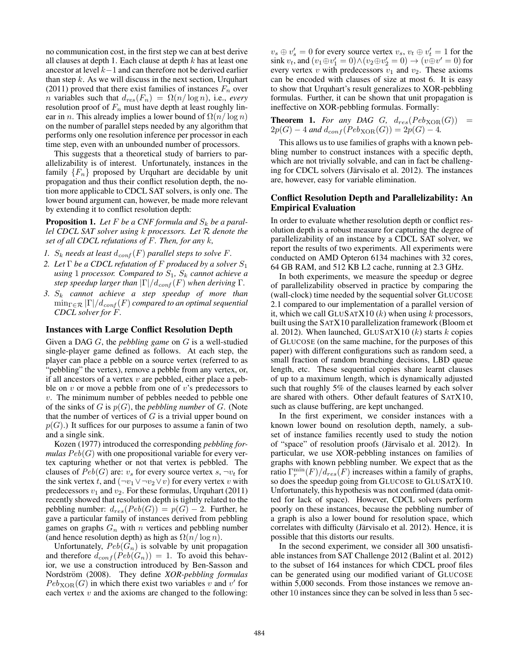no communication cost, in the first step we can at best derive all clauses at depth 1. Each clause at depth  $k$  has at least one ancestor at level <sup>k</sup>−1 and can therefore not be derived earlier than step  $k$ . As we will discuss in the next section, Urquhart (2011) proved that there exist families of instances  $F_n$  over *n* variables such that  $d_{res}(F_n) = \Omega(n/\log n)$ , i.e., *every* resolution proof of  $F_n$  must have depth at least roughly linear in *n*. This already implies a lower bound of  $\Omega(n/\log n)$ on the number of parallel steps needed by any algorithm that performs only one resolution inference per processor in each time step, even with an unbounded number of processors.

This suggests that a theoretical study of barriers to parallelizability is of interest. Unfortunately, instances in the family  ${F_n}$  proposed by Urquhart are decidable by unit propagation and thus their conflict resolution depth, the notion more applicable to CDCL SAT solvers, is only one. The lower bound argument can, however, be made more relevant by extending it to conflict resolution depth:

**Proposition 1.** Let  $F$  be a CNF formula and  $S_k$  be a paral*lel CDCL SAT solver using* <sup>k</sup> *processors. Let* <sup>R</sup> *denote the set of all CDCL refutations of* F*. Then, for any* k*,*

- *1.*  $S_k$  needs at least  $d_{conf}(F)$  parallel steps to solve F.
- *2. Let* <sup>Γ</sup> *be a CDCL refutation of* <sup>F</sup> *produced by a solver* <sup>S</sup><sup>1</sup> *using* 1 *processor.* Compared to  $S_1$ ,  $S_k$  cannot achieve a *step speedup larger than*  $|\Gamma|/d_{conf}(F)$  *when deriving*  $\Gamma$ *.*
- *3.* S<sup>k</sup> *cannot achieve a step speedup of more than*  $\min_{\Gamma \in \mathcal{R}} |\Gamma|/d_{conf}(F)$  *compared to an optimal sequential CDCL solver for* F*.*

# Instances with Large Conflict Resolution Depth

Given a DAG G, the *pebbling game* on G is a well-studied single-player game defined as follows. At each step, the player can place a pebble on a source vertex (referred to as "pebbling" the vertex), remove a pebble from any vertex, or, if all ancestors of a vertex  $v$  are pebbled, either place a pebble on  $v$  or move a pebble from one of  $v$ 's predecessors to v. The minimum number of pebbles needed to pebble one of the sinks of <sup>G</sup> is <sup>p</sup>(G), the *pebbling number* of <sup>G</sup>. (Note that the number of vertices of  $G$  is a trivial upper bound on  $p(G)$ .) It suffices for our purposes to assume a fanin of two and a single sink.

Kozen (1977) introduced the corresponding *pebbling formulas*  $Peb(G)$  with one propositional variable for every vertex capturing whether or not that vertex is pebbled. The clauses of  $Peb(G)$  are:  $v_s$  for every source vertex s,  $\neg v_t$  for the sink vertex t, and  $(\neg v_1 \lor \neg v_2 \lor v)$  for every vertex v with predecessors  $v_1$  and  $v_2$ . For these formulas, Urquhart (2011) recently showed that resolution depth is tightly related to the pebbling number:  $d_{res}(Peb(G)) = p(G) - 2$ . Further, he gave a particular family of instances derived from pebbling games on graphs  $G_n$  with n vertices and pebbling number (and hence resolution depth) as high as  $\Omega(n/\log n)$ .

Unfortunately,  $Peb(G_n)$  is solvable by unit propagation and therefore  $d_{conf}(Peb(G_n)) = 1$ . To avoid this behavior, we use a construction introduced by Ben-Sasson and Nordström (2008). They define *XOR-pebbling formulas*  $Peb_{XOR}(G)$  in which there exist two variables v and v' for each vertex  $v$  and the axioms are changed to the following:

 $v_s \oplus v'_s = 0$  for every source vertex  $v_s$ ,  $v_t \oplus v'_t = 1$  for the sink  $v_t$  and  $(v_t \oplus v'_t = 0) \wedge (v_t \oplus v'_t = 0) \rightarrow (v_t \oplus v'_t = 0)$  for sink  $v_t$ , and  $(v_1 \oplus v_1' = 0) \wedge (v_2 \oplus v_2' = 0) \rightarrow (v \oplus v' = 0)$  for every vertex  $v$  with predecessors  $v_1$  and  $v_2$ . These axioms can be encoded with clauses of size at most 6. It is easy to show that Urquhart's result generalizes to XOR-pebbling formulas. Further, it can be shown that unit propagation is ineffective on XOR-pebbling formulas. Formally:

**Theorem 1.** For any DAG G,  $d_{res}(Peb_{XOR}(G))$  =  $2p(G) - 4$  *and*  $d_{conf}(Peb_{XOR}(G)) = 2p(G) - 4$ *.* 

This allows us to use families of graphs with a known pebbling number to construct instances with a specific depth, which are not trivially solvable, and can in fact be challenging for CDCL solvers (Järvisalo et al. 2012). The instances are, however, easy for variable elimination.

## Conflict Resolution Depth and Parallelizability: An Empirical Evaluation

In order to evaluate whether resolution depth or conflict resolution depth is a robust measure for capturing the degree of parallelizability of an instance by a CDCL SAT solver, we report the results of two experiments. All experiments were conducted on AMD Opteron 6134 machines with 32 cores, 64 GB RAM, and 512 KB L2 cache, running at 2.3 GHz.

In both experiments, we measure the speedup or degree of parallelizability observed in practice by comparing the (wall-clock) time needed by the sequential solver GLUCOSE 2.1 compared to our implementation of a parallel version of it, which we call GLUSATX10  $(k)$  when using k processors, built using the SATX10 parallelization framework (Bloom et al. 2012). When launched, GLUSATX10  $(k)$  starts  $k$  copies of GLUCOSE (on the same machine, for the purposes of this paper) with different configurations such as random seed, a small fraction of random branching decisions, LBD queue length, etc. These sequential copies share learnt clauses of up to a maximum length, which is dynamically adjusted such that roughly 5% of the clauses learned by each solver are shared with others. Other default features of SATX10, such as clause buffering, are kept unchanged.

In the first experiment, we consider instances with a known lower bound on resolution depth, namely, a subset of instance families recently used to study the notion of "space" of resolution proofs (Järvisalo et al. 2012). In particular, we use XOR-pebbling instances on families of graphs with known pebbling number. We expect that as the ratio  $\Gamma_r^{\text{min}}(F)/d_{res}(F)$  increases within a family of graphs,<br>so does the speedup going from GLUCOSE to GLUSATX 10 so does the speedup going from GLUCOSE to GLUSATX10. Unfortunately, this hypothesis was not confirmed (data omitted for lack of space). However, CDCL solvers perform poorly on these instances, because the pebbling number of a graph is also a lower bound for resolution space, which correlates with difficulty (Järvisalo et al. 2012). Hence, it is possible that this distorts our results.

In the second experiment, we consider all 300 unsatisfiable instances from SAT Challenge 2012 (Balint et al. 2012) to the subset of 164 instances for which CDCL proof files can be generated using our modified variant of GLUCOSE within 5,000 seconds. From those instances we remove another 10 instances since they can be solved in less than 5 sec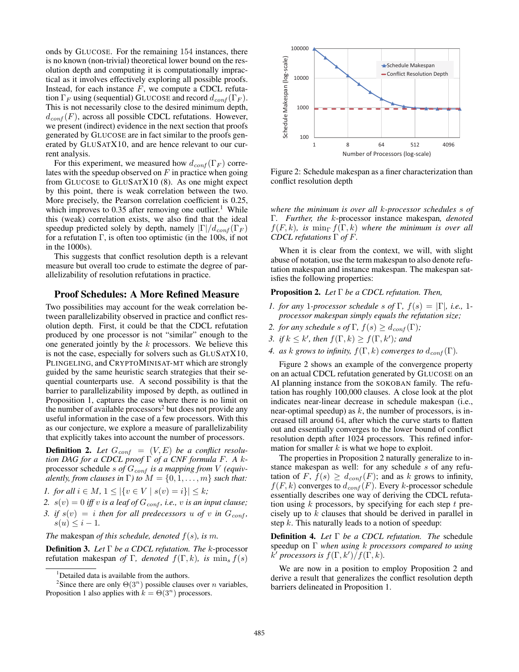onds by GLUCOSE. For the remaining 154 instances, there is no known (non-trivial) theoretical lower bound on the resolution depth and computing it is computationally impractical as it involves effectively exploring all possible proofs. Instead, for each instance  $F$ , we compute a CDCL refutation  $\Gamma_F$  using (sequential) GLUCOSE and record  $d_{conf}(\Gamma_F)$ . This is not necessarily close to the desired minimum depth,  $d_{conf}(F)$ , across all possible CDCL refutations. However, we present (indirect) evidence in the next section that proofs generated by GLUCOSE are in fact similar to the proofs generated by GLUSATX10, and are hence relevant to our current analysis.

For this experiment, we measured how  $d_{conf}(\Gamma_F)$  correlates with the speedup observed on  $F$  in practice when going from GLUCOSE to GLUSATX10 (8). As one might expect by this point, there is weak correlation between the two. More precisely, the Pearson correlation coefficient is 0.25, which improves to 0.35 after removing one outlier.<sup>1</sup> While this (weak) correlation exists, we also find that the ideal speedup predicted solely by depth, namely  $|\Gamma|/d_{conf}(\Gamma_F)$ for a refutation Γ, is often too optimistic (in the 100s, if not in the 1000s).

This suggests that conflict resolution depth is a relevant measure but overall too crude to estimate the degree of parallelizability of resolution refutations in practice.

# Proof Schedules: A More Refined Measure

Two possibilities may account for the weak correlation between parallelizability observed in practice and conflict resolution depth. First, it could be that the CDCL refutation produced by one processor is not "similar" enough to the one generated jointly by the  $k$  processors. We believe this is not the case, especially for solvers such as GLUSATX10, PLINGELING, and CRYPTOMINISAT-MT which are strongly guided by the same heuristic search strategies that their sequential counterparts use. A second possibility is that the barrier to parallelizability imposed by depth, as outlined in Proposition 1, captures the case where there is no limit on the number of available processors<sup>2</sup> but does not provide any useful information in the case of a few processors. With this as our conjecture, we explore a measure of parallelizability that explicitly takes into account the number of processors.

**Definition 2.** Let  $G_{conf} = (V, E)$  be a conflict resolu*tion DAG for a CDCL proof* Γ *of a CNF formula* <sup>F</sup>*. A* <sup>k</sup>processor schedule s of  $G_{conf}$  is a mapping from V (equiv*alently, from clauses in*  $\Gamma$ *) to*  $M = \{0, 1, \ldots, m\}$  *such that:* 

*1. for all*  $i \in M$ ,  $1 \leq |\{v \in V \mid s(v) = i\}| \leq k$ ;

- 2.  $s(v)=0$  *iff* v *is a leaf of*  $G_{conf}$ *, i.e.,* v *is an input clause*;
- *3. if*  $s(v) = i$  *then for all predecessors* u *of* v *in*  $G_{conf}$ *,*  $s(u) \leq i - 1.$

*The* makespan *of this schedule, denoted* <sup>f</sup>(s)*, is* <sup>m</sup>*.*

Definition 3. *Let* Γ *be a CDCL refutation. The* <sup>k</sup>-processor refutation makespan *of* Γ, denoted  $f(\Gamma, k)$ , is min<sub>s</sub>  $f(s)$ 



Figure 2: Schedule makespan as a finer characterization than conflict resolution depth

*where the minimum is over all* k*-processor schedules* s *of* Γ*. Further, the* <sup>k</sup>-processor instance makespan*, denoted*  $f(F, k)$ , is min<sub> $\Gamma$ </sub>  $f(\Gamma, k)$  where the minimum is over all *CDCL refutations* Γ *of* <sup>F</sup>*.*

When it is clear from the context, we will, with slight abuse of notation, use the term makespan to also denote refutation makespan and instance makespan. The makespan satisfies the following properties:

# Proposition 2. *Let* Γ *be a CDCL refutation. Then,*

- *1. for any* 1*-processor schedule* s *of*  $\Gamma$ ,  $f(s) = |\Gamma|$ , *i.e.*, 1*processor makespan simply equals the refutation size;*
- *2. for any schedule* s of  $\Gamma$ ,  $f(s) \geq d_{conf}(\Gamma)$ ;
- *3. if*  $k \leq k'$ , then  $f(\Gamma, k) \geq f(\Gamma, k')$ ; and
- *4. as* k *grows to infinity,*  $f(\Gamma, k)$  *converges to*  $d_{conf}(\Gamma)$ *.*

Figure 2 shows an example of the convergence property on an actual CDCL refutation generated by GLUCOSE on an AI planning instance from the SOKOBAN family. The refutation has roughly 100,000 clauses. A close look at the plot indicates near-linear decrease in schedule makespan (i.e., near-optimal speedup) as  $k$ , the number of processors, is increased till around 64, after which the curve starts to flatten out and essentially converges to the lower bound of conflict resolution depth after 1024 processors. This refined information for smaller  $k$  is what we hope to exploit.

The properties in Proposition 2 naturally generalize to instance makespan as well: for any schedule s of any refutation of F,  $f(s) \geq d_{conf}(F)$ ; and as k grows to infinity,  $f(F, k)$  converges to  $d_{conf}(F)$ . Every k-processor schedule essentially describes one way of deriving the CDCL refutation using  $k$  processors, by specifying for each step  $t$  precisely up to  $k$  clauses that should be derived in parallel in step  $k$ . This naturally leads to a notion of speedup:

Definition 4. *Let* Γ *be a CDCL refutation. The* schedule speedup on Γ *when using* <sup>k</sup> *processors compared to using*  $\overline{k'}$  processors is  $f(\Gamma, k')$   $\big/$   $f(\Gamma, k)$ .

We are now in a position to employ Proposition 2 and derive a result that generalizes the conflict resolution depth barriers delineated in Proposition 1.

<sup>&</sup>lt;sup>1</sup>Detailed data is available from the authors.

<sup>&</sup>lt;sup>2</sup>Since there are only  $\Theta(3^n)$  possible clauses over *n* variables, Proposition 1 also applies with  $k = \Theta(3^n)$  processors.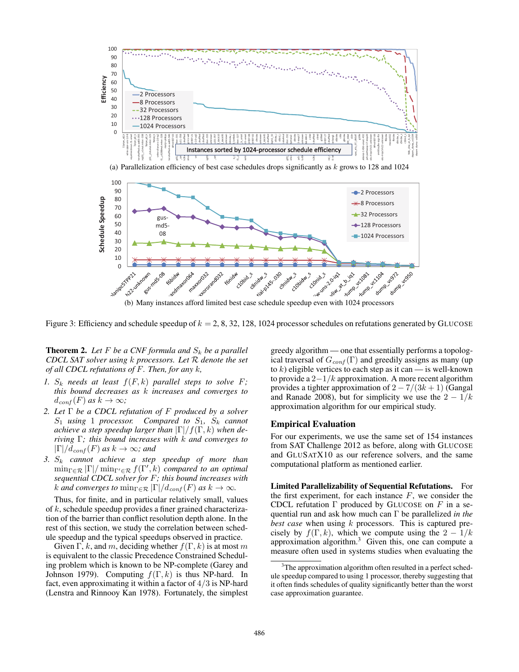

(a) Parallelization efficiency of best case schedules drops significantly as  $k$  grows to 128 and 1024



Figure 3: Efficiency and schedule speedup of  $k = 2, 8, 32, 128, 1024$  processor schedules on refutations generated by GLUCOSE

**Theorem 2.** Let F be a CNF formula and  $S_k$  be a parallel CDCL SAT solver using  $k$  processors. Let  $R$  denote the set of all CDCL refutations of  $F$ . Then, for any  $k$ ,

- 1.  $S_k$  needs at least  $f(F, k)$  parallel steps to solve F; this bound decreases as k increases and converges to  $d_{conf}(F)$  as  $k \to \infty$ ;
- 2. Let  $\Gamma$  be a CDCL refutation of  $F$  produced by a solver  $S_1$  using 1 processor. Compared to  $S_1$ ,  $S_k$  cannot achieve a step speedup larger than  $|\Gamma|/f(\Gamma, k)$  when deriving  $\Gamma$ ; this bound increases with  $k$  and converges to  $|\Gamma|/d_{conf}(F)$  as  $k \to \infty$ ; and
- 3.  $S_k$  cannot achieve a step speedup of more than  $\min_{\Gamma \in \mathcal{R}} |\Gamma| / \min_{\Gamma' \in \mathcal{R}} f(\Gamma', k)$  compared to an optimal sequential CDCL solver for F; this bound increases with k and converges to  $\min_{\Gamma \in \mathcal{R}} |\Gamma|/d_{conf}(F)$  as  $k \to \infty$ .

Thus, for finite, and in particular relatively small, values of  $k$ , schedule speedup provides a finer grained characterization of the barrier than conflict resolution depth alone. In the rest of this section, we study the correlation between schedule speedup and the typical speedups observed in practice.

Given  $\Gamma$ , k, and m, deciding whether  $f(\Gamma, k)$  is at most m is equivalent to the classic Precedence Constrained Scheduling problem which is known to be NP-complete (Garey and Johnson 1979). Computing  $f(\Gamma, k)$  is thus NP-hard. In fact, even approximating it within a factor of  $4/3$  is NP-hard (Lenstra and Rinnooy Kan 1978). Fortunately, the simplest

greedy algorithm — one that essentially performs a topological traversal of  $G_{conf}(\Gamma)$  and greedily assigns as many (up to k) eligible vertices to each step as it can — is well-known to provide a  $2-1/k$  approximation. A more recent algorithm provides a tighter approximation of  $2 - 7/(3k + 1)$  (Gangal and Ranade 2008), but for simplicity we use the  $2 - 1/k$ approximation algorithm for our empirical study.

# **Empirical Evaluation**

For our experiments, we use the same set of 154 instances from SAT Challenge 2012 as before, along with GLUCOSE and GLUSATX10 as our reference solvers, and the same computational platform as mentioned earlier.

Limited Parallelizability of Sequential Refutations. For the first experiment, for each instance  $F$ , we consider the CDCL refutation  $\Gamma$  produced by GLUCOSE on  $F$  in a sequential run and ask how much can  $\Gamma$  be parallelized in the best case when using  $k$  processors. This is captured precisely by  $f(\Gamma, k)$ , which we compute using the  $2 - 1/k$ approximation algorithm.<sup>3</sup> Given this, one can compute a measure often used in systems studies when evaluating the

<sup>&</sup>lt;sup>3</sup>The approximation algorithm often resulted in a perfect schedule speedup compared to using 1 processor, thereby suggesting that it often finds schedules of quality significantly better than the worst case approximation guarantee.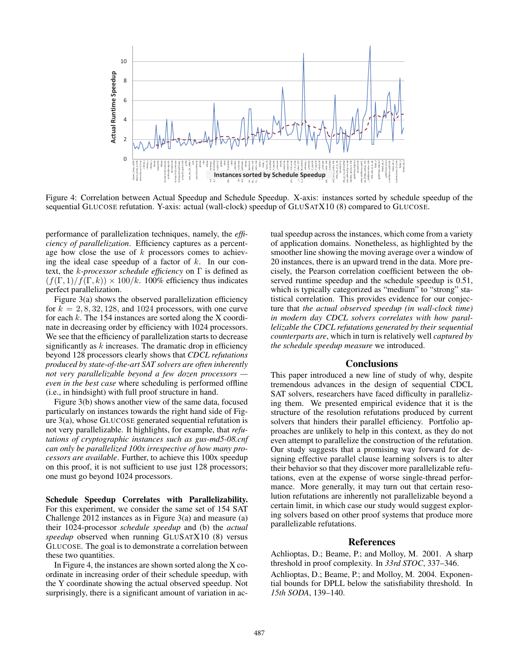

Figure 4: Correlation between Actual Speedup and Schedule Speedup. X-axis: instances sorted by schedule speedup of the sequential GLUCOSE refutation. Y-axis: actual (wall-clock) speedup of GLUSATX10 (8) compared to GLUCOSE.

performance of parallelization techniques, namely, the *effi*ciency of parallelization. Efficiency captures as a percentage how close the use of  $k$  processors comes to achieving the ideal case speedup of a factor of  $k$ . In our context, the *k*-processor schedule efficiency on  $\Gamma$  is defined as  $(f(\Gamma, 1)/f(\Gamma, k)) \times 100/k$ . 100% efficiency thus indicates perfect parallelization.

Figure  $3(a)$  shows the observed parallelization efficiency for  $k = 2, 8, 32, 128$ , and 1024 processors, with one curve for each  $k$ . The 154 instances are sorted along the X coordinate in decreasing order by efficiency with 1024 processors. We see that the efficiency of parallelization starts to decrease significantly as  $k$  increases. The dramatic drop in efficiency beyond 128 processors clearly shows that CDCL refutations produced by state-of-the-art SAT solvers are often inherently not very parallelizable beyond a few dozen processors even in the best case where scheduling is performed offline (i.e., in hindsight) with full proof structure in hand.

Figure 3(b) shows another view of the same data, focused particularly on instances towards the right hand side of Figure  $3(a)$ , whose GLUCOSE generated sequential refutation is not very parallelizable. It highlights, for example, that *refu*tations of cryptographic instances such as gus-md5-08.cnf can only be parallelized 100x irrespective of how many processors are available. Further, to achieve this 100x speedup on this proof, it is not sufficient to use just 128 processors; one must go beyond 1024 processors.

Schedule Speedup Correlates with Parallelizability. For this experiment, we consider the same set of 154 SAT Challenge  $2012$  instances as in Figure  $3(a)$  and measure  $(a)$ their 1024-processor schedule speedup and (b) the actual speedup observed when running GLUSATX10 (8) versus GLUCOSE. The goal is to demonstrate a correlation between these two quantities.

In Figure 4, the instances are shown sorted along the X coordinate in increasing order of their schedule speedup, with the Y coordinate showing the actual observed speedup. Not surprisingly, there is a significant amount of variation in actual speedup across the instances, which come from a variety of application domains. Nonetheless, as highlighted by the smoother line showing the moving average over a window of 20 instances, there is an upward trend in the data. More precisely, the Pearson correlation coefficient between the observed runtime speedup and the schedule speedup is 0.51, which is typically categorized as "medium" to "strong" statistical correlation. This provides evidence for our conjecture that the actual observed speedup (in wall-clock time) in modern day CDCL solvers correlates with how parallelizable the CDCL refutations generated by their sequential counterparts are, which in turn is relatively well captured by the schedule speedup measure we introduced.

# **Conclusions**

This paper introduced a new line of study of why, despite tremendous advances in the design of sequential CDCL SAT solvers, researchers have faced difficulty in parallelizing them. We presented empirical evidence that it is the structure of the resolution refutations produced by current solvers that hinders their parallel efficiency. Portfolio approaches are unlikely to help in this context, as they do not even attempt to parallelize the construction of the refutation. Our study suggests that a promising way forward for designing effective parallel clause learning solvers is to alter their behavior so that they discover more parallelizable refutations, even at the expense of worse single-thread performance. More generally, it may turn out that certain resolution refutations are inherently not parallelizable beyond a certain limit, in which case our study would suggest exploring solvers based on other proof systems that produce more parallelizable refutations.

### **References**

Achlioptas, D.; Beame, P.; and Molloy, M. 2001. A sharp threshold in proof complexity. In 33rd STOC, 337-346.

Achlioptas, D.; Beame, P.; and Molloy, M. 2004. Exponential bounds for DPLL below the satisfiability threshold. In 15th SODA, 139-140.